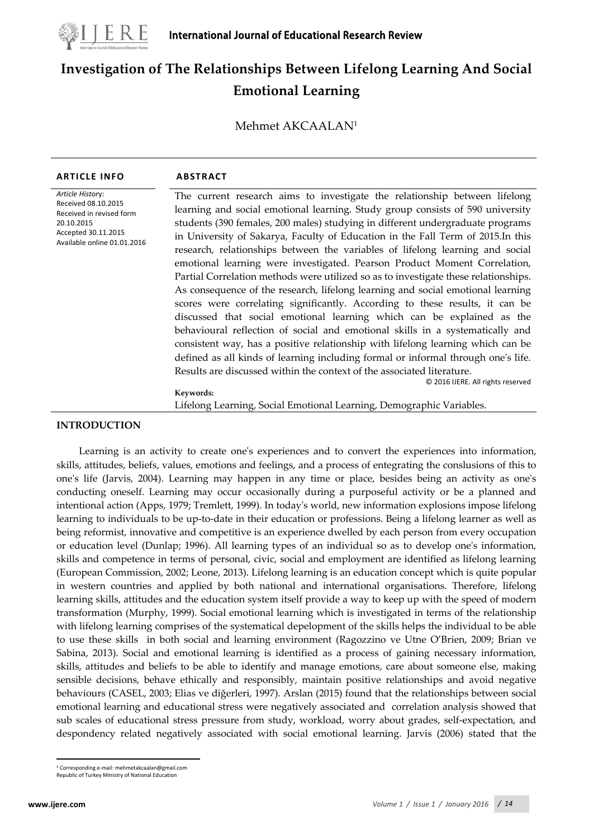

# **Investigation of The Relationships Between Lifelong Learning And Social Emotional Learning**

Mehmet AKCAALAN1

| Article History:<br>Received 08.10.2015<br>Received in revised form           | The current research aims to investigate the relationship between lifelong<br>learning and social emotional learning. Study group consists of 590 university                                                                                                                                                                                                                                                                                                                                                                                                                                                                                                                                                                                                                                                                                                                                                                                                                                                                                                                                                         |
|-------------------------------------------------------------------------------|----------------------------------------------------------------------------------------------------------------------------------------------------------------------------------------------------------------------------------------------------------------------------------------------------------------------------------------------------------------------------------------------------------------------------------------------------------------------------------------------------------------------------------------------------------------------------------------------------------------------------------------------------------------------------------------------------------------------------------------------------------------------------------------------------------------------------------------------------------------------------------------------------------------------------------------------------------------------------------------------------------------------------------------------------------------------------------------------------------------------|
| 20.10.2015<br>Accepted 30.11.2015<br>Available online 01.01.2016<br>Keywords: | students (390 females, 200 males) studying in different undergraduate programs<br>in University of Sakarya, Faculty of Education in the Fall Term of 2015. In this<br>research, relationships between the variables of lifelong learning and social<br>emotional learning were investigated. Pearson Product Moment Correlation,<br>Partial Correlation methods were utilized so as to investigate these relationships.<br>As consequence of the research, lifelong learning and social emotional learning<br>scores were correlating significantly. According to these results, it can be<br>discussed that social emotional learning which can be explained as the<br>behavioural reflection of social and emotional skills in a systematically and<br>consistent way, has a positive relationship with lifelong learning which can be<br>defined as all kinds of learning including formal or informal through one's life.<br>Results are discussed within the context of the associated literature.<br>© 2016 IJERE. All rights reserved<br>Lifelong Learning, Social Emotional Learning, Demographic Variables. |

## **INTRODUCTION**

Learning is an activity to create one's experiences and to convert the experiences into information, skills, attitudes, beliefs, values, emotions and feelings, and a process of entegrating the conslusions of this to one's life (Jarvis, 2004). Learning may happen in any time or place, besides being an activity as one's conducting oneself. Learning may occur occasionally during a purposeful activity or be a planned and intentional action (Apps, 1979; Tremlett, 1999). In today's world, new information explosions impose lifelong learning to individuals to be up-to-date in their education or professions. Being a lifelong learner as well as being reformist, innovative and competitive is an experience dwelled by each person from every occupation or education level (Dunlap; 1996). All learning types of an individual so as to develop one's information, skills and competence in terms of personal, civic, social and employment are identified as lifelong learning (European Commission, 2002; Leone, 2013). Lifelong learning is an education concept which is quite popular in western countries and applied by both national and international organisations. Therefore, lifelong learning skills, attitudes and the education system itself provide a way to keep up with the speed of modern transformation (Murphy, 1999). Social emotional learning which is investigated in terms of the relationship with lifelong learning comprises of the systematical depelopment of the skills helps the individual to be able to use these skills in both social and learning environment (Ragozzino ve Utne O'Brien, 2009; Brian ve Sabina, 2013). Social and emotional learning is identified as a process of gaining necessary information, skills, attitudes and beliefs to be able to identify and manage emotions, care about someone else, making sensible decisions, behave ethically and responsibly, maintain positive relationships and avoid negative behaviours (CASEL, 2003; Elias ve diğerleri, 1997). Arslan (2015) found that the relationships between social emotional learning and educational stress were negatively associated and correlation analysis showed that sub scales of educational stress pressure from study, workload, worry about grades, self-expectation, and despondency related negatively associated with social emotional learning. Jarvis (2006) stated that the

<sup>1</sup> Corresponding e-mail: mehmetakcaalan@gmail.com  $\overline{a}$ 

<span id="page-0-0"></span>Republic of Turkey Ministry of National Education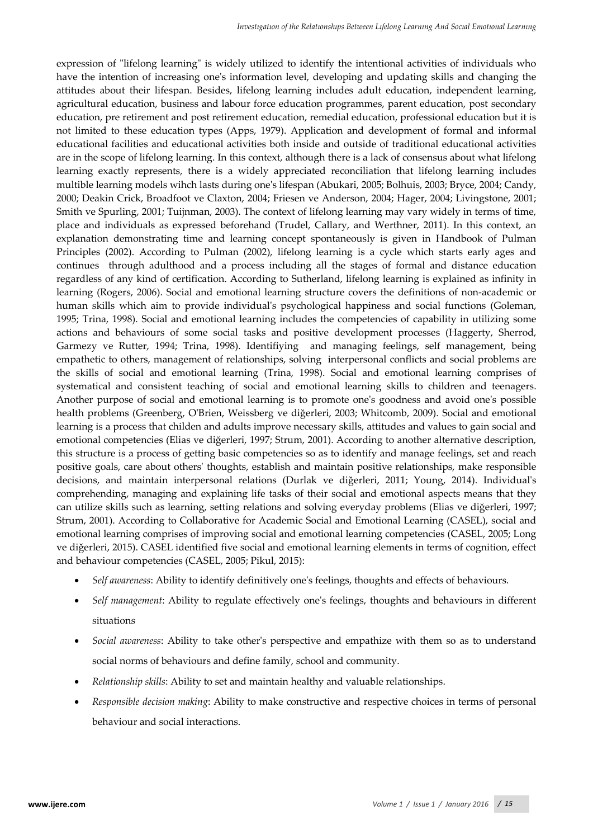expression of "lifelong learning" is widely utilized to identify the intentional activities of individuals who have the intention of increasing one's information level, developing and updating skills and changing the attitudes about their lifespan. Besides, lifelong learning includes adult education, independent learning, agricultural education, business and labour force education programmes, parent education, post secondary education, pre retirement and post retirement education, remedial education, professional education but it is not limited to these education types (Apps, 1979). Application and development of formal and informal educational facilities and educational activities both inside and outside of traditional educational activities are in the scope of lifelong learning. In this context, although there is a lack of consensus about what lifelong learning exactly represents, there is a widely appreciated reconciliation that lifelong learning includes multible learning models wihch lasts during one's lifespan (Abukari, 2005; Bolhuis, 2003; Bryce, 2004; Candy, 2000; Deakin Crick, Broadfoot ve Claxton, 2004; Friesen ve Anderson, 2004; Hager, 2004; Livingstone, 2001; Smith ve Spurling, 2001; Tuijnman, 2003). The context of lifelong learning may vary widely in terms of time, place and individuals as expressed beforehand (Trudel, Callary, and Werthner, 2011). In this context, an explanation demonstrating time and learning concept spontaneously is given in Handbook of Pulman Principles (2002). According to Pulman (2002), lifelong learning is a cycle which starts early ages and continues through adulthood and a process including all the stages of formal and distance education regardless of any kind of certification. According to Sutherland, lifelong learning is explained as infinity in learning (Rogers, 2006). Social and emotional learning structure covers the definitions of non-academic or human skills which aim to provide individual's psychological happiness and social functions (Goleman, 1995; Trina, 1998). Social and emotional learning includes the competencies of capability in utilizing some actions and behaviours of some social tasks and positive development processes (Haggerty, Sherrod, Garmezy ve Rutter, 1994; Trina, 1998). Identifiying and managing feelings, self management, being empathetic to others, management of relationships, solving interpersonal conflicts and social problems are the skills of social and emotional learning (Trina, 1998). Social and emotional learning comprises of systematical and consistent teaching of social and emotional learning skills to children and teenagers. Another purpose of social and emotional learning is to promote one's goodness and avoid one's possible health problems (Greenberg, O'Brien, Weissberg ve diğerleri, 2003; Whitcomb, 2009). Social and emotional learning is a process that childen and adults improve necessary skills, attitudes and values to gain social and emotional competencies (Elias ve diğerleri, 1997; Strum, 2001). According to another alternative description, this structure is a process of getting basic competencies so as to identify and manage feelings, set and reach positive goals, care about others' thoughts, establish and maintain positive relationships, make responsible decisions, and maintain interpersonal relations (Durlak ve diğerleri, 2011; Young, 2014). Individual's comprehending, managing and explaining life tasks of their social and emotional aspects means that they can utilize skills such as learning, setting relations and solving everyday problems (Elias ve diğerleri, 1997; Strum, 2001). According to Collaborative for Academic Social and Emotional Learning (CASEL), social and emotional learning comprises of improving social and emotional learning competencies (CASEL, 2005; Long ve diğerleri, 2015). CASEL identified five social and emotional learning elements in terms of cognition, effect and behaviour competencies (CASEL, 2005; Pikul, 2015):

- *Self awareness*: Ability to identify definitively one's feelings, thoughts and effects of behaviours.
- *Self management*: Ability to regulate effectively one's feelings, thoughts and behaviours in different situations
- *Social awareness*: Ability to take other's perspective and empathize with them so as to understand social norms of behaviours and define family, school and community.
- *Relationship skills*: Ability to set and maintain healthy and valuable relationships.
- *Responsible decision making*: Ability to make constructive and respective choices in terms of personal behaviour and social interactions.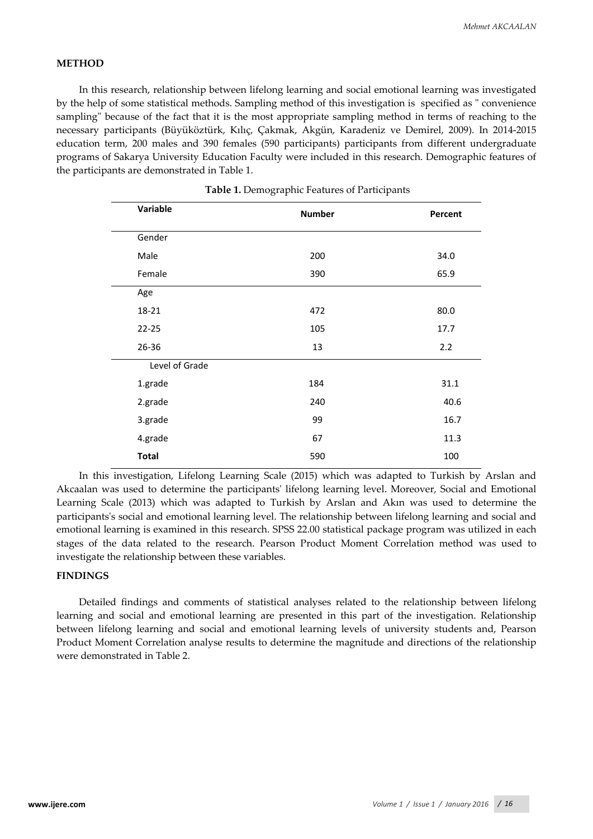### **METHOD**

In this research, relationship between lifelong learning and social emotional learning was investigated by the help of some statistical methods. Sampling method of this investigation is specified as " convenience sampling" because of the fact that it is the most appropriate sampling method in terms of reaching to the necessary participants (Büyüköztürk, Kılıç, Çakmak, Akgün, Karadeniz ve Demirel, 2009). In 2014-2015 education term, 200 males and 390 females (590 participants) participants from different undergraduate programs of Sakarya University Education Faculty were included in this research. Demographic features of the participants are demonstrated in Table 1.

| Variable       | <b>Number</b> | Percent |  |
|----------------|---------------|---------|--|
| Gender         |               |         |  |
| Male           | 200           | 34.0    |  |
| Female         | 390           | 65.9    |  |
| Age            |               |         |  |
| 18-21          | 472           | 80.0    |  |
| $22 - 25$      | 105           | 17.7    |  |
| 26-36          | 13            | 2.2     |  |
| Level of Grade |               |         |  |
| 1.grade        | 184           | 31.1    |  |
| 2.grade        | 240           | 40.6    |  |
| 3.grade        | 99            | 16.7    |  |
| 4.grade        | 67            | 11.3    |  |
| <b>Total</b>   | 590           | 100     |  |
|                |               |         |  |

In this investigation, Lifelong Learning Scale (2015) which was adapted to Turkish by Arslan and Akcaalan was used to determine the participants' lifelong learning level. Moreover, Social and Emotional Learning Scale (2013) which was adapted to Turkish by Arslan and Akın was used to determine the participants's social and emotional learning level. The relationship between lifelong learning and social and emotional learning is examined in this research. SPSS 22.00 statistical package program was utilized in each stages of the data related to the research. Pearson Product Moment Correlation method was used to investigate the relationship between these variables.

#### **FINDINGS**

Detailed findings and comments of statistical analyses related to the relationship between lifelong learning and social and emotional learning are presented in this part of the investigation. Relationship between lifelong learning and social and emotional learning levels of university students and, Pearson Product Moment Correlation analyse results to determine the magnitude and directions of the relationship were demonstrated in Table 2.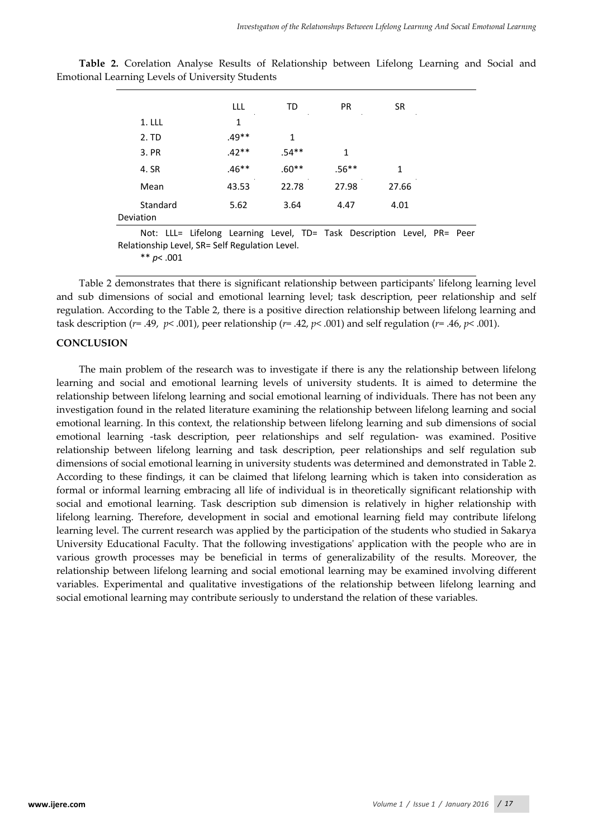|                                                                                                                                            | LLL.    | TD      | <b>PR</b> | <b>SR</b> |  |  |
|--------------------------------------------------------------------------------------------------------------------------------------------|---------|---------|-----------|-----------|--|--|
| 1. LLL                                                                                                                                     | 1       |         |           |           |  |  |
| 2. TD                                                                                                                                      | $.49**$ | 1       |           |           |  |  |
| 3. PR                                                                                                                                      | $.42**$ | $.54**$ | 1         |           |  |  |
| 4. SR                                                                                                                                      | $.46**$ | $.60**$ | $.56**$   | 1         |  |  |
| Mean                                                                                                                                       | 43.53   | 22.78   | 27.98     | 27.66     |  |  |
| Standard<br>Deviation                                                                                                                      | 5.62    | 3.64    | 4.47      | 4.01      |  |  |
| Not: LLL= Lifelong Learning Level, TD= Task Description Level, PR= Peer<br>Relationship Level, SR= Self Regulation Level.<br>** $p$ < .001 |         |         |           |           |  |  |

**Table 2.** Corelation Analyse Results of Relationship between Lifelong Learning and Social and Emotional Learning Levels of University Students

Table 2 demonstrates that there is significant relationship between participants' lifelong learning level and sub dimensions of social and emotional learning level; task description, peer relationship and self regulation. According to the Table 2, there is a positive direction relationship between lifelong learning and task description ( $r = .49$ ,  $p < .001$ ), peer relationship ( $r = .42$ ,  $p < .001$ ) and self regulation ( $r = .46$ ,  $p < .001$ ).

### **CONCLUSION**

The main problem of the research was to investigate if there is any the relationship between lifelong learning and social and emotional learning levels of university students. It is aimed to determine the relationship between lifelong learning and social emotional learning of individuals. There has not been any investigation found in the related literature examining the relationship between lifelong learning and social emotional learning. In this context, the relationship between lifelong learning and sub dimensions of social emotional learning -task description, peer relationships and self regulation- was examined. Positive relationship between lifelong learning and task description, peer relationships and self regulation sub dimensions of social emotional learning in university students was determined and demonstrated in Table 2. According to these findings, it can be claimed that lifelong learning which is taken into consideration as formal or informal learning embracing all life of individual is in theoretically significant relationship with social and emotional learning. Task description sub dimension is relatively in higher relationship with lifelong learning. Therefore, development in social and emotional learning field may contribute lifelong learning level. The current research was applied by the participation of the students who studied in Sakarya University Educational Faculty. That the following investigations' application with the people who are in various growth processes may be beneficial in terms of generalizability of the results. Moreover, the relationship between lifelong learning and social emotional learning may be examined involving different variables. Experimental and qualitative investigations of the relationship between lifelong learning and social emotional learning may contribute seriously to understand the relation of these variables.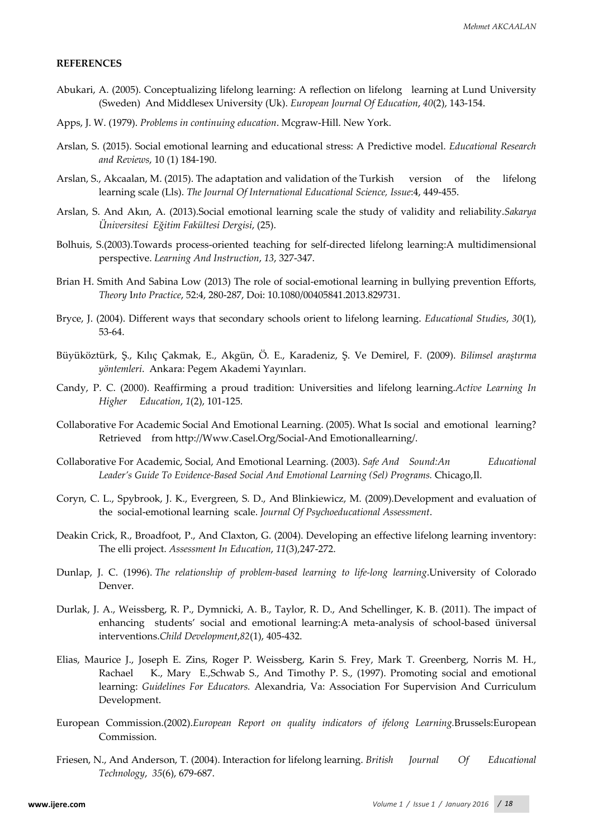#### **REFERENCES**

- Abukari, A. (2005). Conceptualizing lifelong learning: A reflection on lifelong learning at Lund University (Sweden) And Middlesex University (Uk). *European Journal Of Education*, *40*(2), 143-154.
- Apps, J. W. (1979). *Problems in continuing education*. Mcgraw-Hill. New York.
- Arslan, S. (2015). Social emotional learning and educational stress: A Predictive model. *Educational Research and Reviews*, 10 (1) 184-190.
- Arslan, S., Akcaalan, M. (2015). The adaptation and validation of the Turkish version of the lifelong learning scale (Lls). *The Journal Of International Educational Science, Issue*:4, 449-455.
- Arslan, S. And Akın, A. (2013).Social emotional learning scale the study of validity and reliability.*Sakarya Üniversitesi Eğitim Fakültesi Dergisi*, (25).
- Bolhuis, S.(2003).Towards process-oriented teaching for self-directed lifelong learning:A multidimensional perspective. *Learning And Instruction*, *13*, 327-347.
- Brian H. Smith And Sabina Low (2013) The role of social-emotional learning in bullying prevention Efforts, *Theory* I*nto Practice*, 52:4, 280-287, Doi: 10.1080/00405841.2013.829731.
- Bryce, J. (2004). Different ways that secondary schools orient to lifelong learning. *Educational Studies*, *30*(1), 53-64.
- Büyüköztürk, Ş., Kılıç Çakmak, E., Akgün, Ö. E., Karadeniz, Ş. Ve Demirel, F. (2009). *Bilimsel araştırma yöntemleri*. Ankara: Pegem Akademi Yayınları.
- Candy, P. C. (2000). Reaffirming a proud tradition: Universities and lifelong learning.*Active Learning In Higher Education*, *1*(2), 101-125.
- Collaborative For Academic Social And Emotional Learning. (2005). What Is social and emotional learning? Retrieved from http://Www.Casel.Org/Social-And Emotionallearning/.
- Collaborative For Academic, Social, And Emotional Learning. (2003). *Safe And Sound:An Educational Leader's Guide To Evidence-Based Social And Emotional Learning (Sel) Programs.* Chicago,Il.
- Coryn, C. L., Spybrook, J. K., Evergreen, S. D., And Blinkiewicz, M. (2009).Development and evaluation of the social-emotional learning scale. *Journal Of Psychoeducational Assessment*.
- Deakin Crick, R., Broadfoot, P., And Claxton, G. (2004). Developing an effective lifelong learning inventory: The elli project. *Assessment In Education*, *11*(3),247-272.
- Dunlap, J. C. (1996). *The relationship of problem-based learning to life-long learning*.University of Colorado Denver.
- Durlak, J. A., Weissberg, R. P., Dymnicki, A. B., Taylor, R. D., And Schellinger, K. B. (2011). The impact of enhancing students' social and emotional learning:A meta-analysis of school-based üniversal interventions.*Child Development*,*82*(1), 405-432.
- Elias, Maurice J., Joseph E. Zins, Roger P. Weissberg, Karin S. Frey, Mark T. Greenberg, Norris M. H., Rachael K., Mary E.,Schwab S., And Timothy P. S., (1997). Promoting social and emotional learning: *Guidelines For Educators.* Alexandria, Va: Association For Supervision And Curriculum Development.
- European Commission.(2002).*European Report on quality indicators of ifelong Learning.*Brussels:European Commission.
- Friesen, N., And Anderson, T. (2004). Interaction for lifelong learning. *British Journal Of Educational Technology*, *35*(6), 679-687.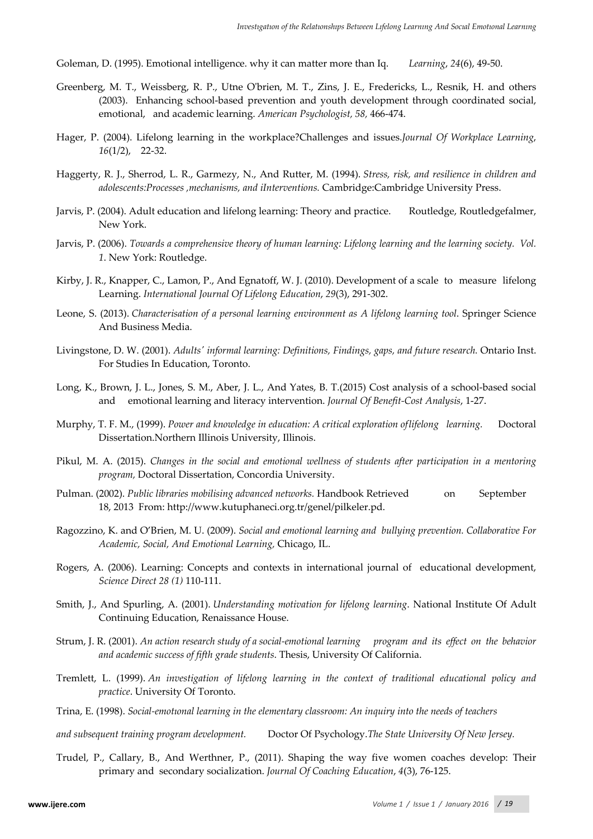Goleman, D. (1995). Emotional intelligence. why it can matter more than Iq. *Learning*, *24*(6), 49-50.

- Greenberg, M. T., Weissberg, R. P., Utne O'brien, M. T., Zins, J. E., Fredericks, L., Resnik, H. and others (2003). Enhancing school-based prevention and youth development through coordinated social, emotional, and academic learning. *American Psychologist, 58,* 466-474.
- Hager, P. (2004). Lifelong learning in the workplace?Challenges and issues.*Journal Of Workplace Learning*, *16*(1/2), 22-32.
- Haggerty, R. J., Sherrod, L. R., Garmezy, N., And Rutter, M. (1994). *Stress, risk, and resilience in children and adolescents:Processes ,mechanisms, and iInterventions.* Cambridge:Cambridge University Press.
- Jarvis, P. (2004). Adult education and lifelong learning: Theory and practice. Routledge, Routledgefalmer, New York.
- Jarvis, P. (2006). *Towards a comprehensive theory of human learning: Lifelong learning and the learning society. Vol. 1*. New York: Routledge.
- Kirby, J. R., Knapper, C., Lamon, P., And Egnatoff, W. J. (2010). Development of a scale to measure lifelong Learning. *International Journal Of Lifelong Education*, *29*(3), 291-302.
- Leone, S. (2013). *Characterisation of a personal learning environment as A lifelong learning tool*. Springer Science And Business Media.
- Livingstone, D. W. (2001). *Adults' informal learning: Definitions, Findings, gaps, and future research.* Ontario Inst. For Studies In Education, Toronto.
- Long, K., Brown, J. L., Jones, S. M., Aber, J. L., And Yates, B. T.(2015) Cost analysis of a school-based social and emotional learning and literacy intervention. *Journal Of Benefit-Cost Analysis*, 1-27.
- Murphy, T. F. M., (1999). *Power and knowledge in education: A critical exploration of lifelong learning.* Doctoral Dissertation.Northern Illinois University, Illinois.
- Pikul, M. A. (2015). *Changes in the social and emotional wellness of students after participation in a mentoring program,* Doctoral Dissertation, Concordia University.
- Pulman. (2002). *Public libraries mobilising advanced networks.* Handbook Retrieved on September 18, 2013 From: http://www.kutuphaneci.org.tr/genel/pilkeler.pd.
- Ragozzino, K. and O'Brien, M. U. (2009). *Social and emotional learning and bullying prevention. Collaborative For Academic, Social, And Emotional Learning,* Chicago, IL.
- Rogers, A. (2006). Learning: Concepts and contexts in international journal of educational development, *Science Direct 28 (1)* 110-111.
- Smith, J., And Spurling, A. (2001). *Understanding motivation for lifelong learning*. National Institute Of Adult Continuing Education, Renaissance House.
- Strum, J. R. (2001). *An action research study of a social-emotional learning program and its effect on the behavior and academic success of fifth grade students*. Thesis, University Of California.
- Tremlett, L. (1999). *An investigation of lifelong learning in the context of traditional educational policy and practice*. University Of Toronto.
- Trina, E. (1998). *Social-emotıonal learning in the elementary classroom: An inquiry into the needs of teachers*
- *and subsequent training program development.* Doctor Of Psychology.*The State University Of New Jersey.*
- Trudel, P., Callary, B., And Werthner, P., (2011). Shaping the way five women coaches develop: Their primary and secondary socialization. *Journal Of Coaching Education*, *4*(3), 76-125.